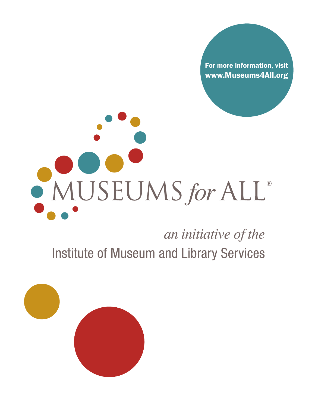For more information, visit www.Museums4All.org

# MUSEUMS for ALL®

an initiative of the **Institute of Museum and Library Services** 

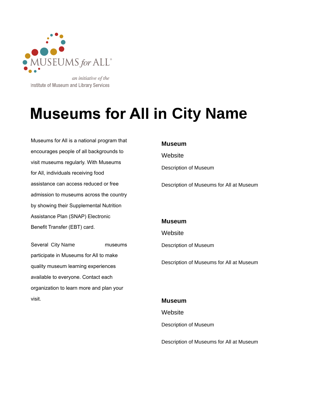

an initiative of the Institute of Museum and Library Services

# **Museums for All in City Name**

Museums for All is a national program that encourages people of all backgrounds to visit museums regularly. With Museums for All, individuals receiving food assistance can access reduced or free admission to museums across the country by showing their Supplemental Nutrition Assistance Plan (SNAP) Electronic Benefit Transfer (EBT) card. Museum<br>
yes people of all backgrounds to<br>
eums regularly. With Museums<br>
dividuals receiving food<br>
ce can access reduced or free<br>
n to museums across the country<br>
ng their Supplemental Nutrition<br>
ce Plan (SNAP) Electronic<br>

Several City Name museums participate in Museums for All to make quality museum learning experiences available to everyone. Contact each organization to learn more and plan your visit.

Description of Museum

Description of Museums for All at Museum

## **Museum**

**Website** 

Description of Museum

Description of Museums for All at Museum

# **Museum Website**

Description of Museum

Description of Museums for All at Museum